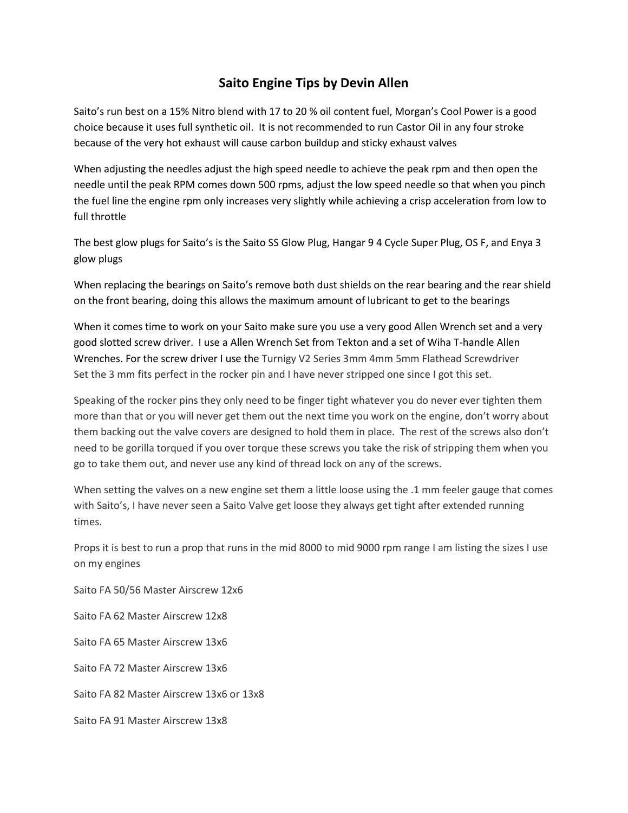## **Saito Engine Tips by Devin Allen**

Saito's run best on a 15% Nitro blend with 17 to 20 % oil content fuel, Morgan's Cool Power is a good choice because it uses full synthetic oil. It is not recommended to run Castor Oil in any four stroke because of the very hot exhaust will cause carbon buildup and sticky exhaust valves

When adjusting the needles adjust the high speed needle to achieve the peak rpm and then open the needle until the peak RPM comes down 500 rpms, adjust the low speed needle so that when you pinch the fuel line the engine rpm only increases very slightly while achieving a crisp acceleration from low to full throttle

The best glow plugs for Saito's is the Saito SS Glow Plug, Hangar 9 4 Cycle Super Plug, OS F, and Enya 3 glow plugs

When replacing the bearings on Saito's remove both dust shields on the rear bearing and the rear shield on the front bearing, doing this allows the maximum amount of lubricant to get to the bearings

When it comes time to work on your Saito make sure you use a very good Allen Wrench set and a very good slotted screw driver. I use a Allen Wrench Set from Tekton and a set of Wiha T-handle Allen Wrenches. For the screw driver I use the Turnigy V2 Series 3mm 4mm 5mm Flathead Screwdriver Set the 3 mm fits perfect in the rocker pin and I have never stripped one since I got this set.

Speaking of the rocker pins they only need to be finger tight whatever you do never ever tighten them more than that or you will never get them out the next time you work on the engine, don't worry about them backing out the valve covers are designed to hold them in place. The rest of the screws also don't need to be gorilla torqued if you over torque these screws you take the risk of stripping them when you go to take them out, and never use any kind of thread lock on any of the screws.

When setting the valves on a new engine set them a little loose using the .1 mm feeler gauge that comes with Saito's, I have never seen a Saito Valve get loose they always get tight after extended running times.

Props it is best to run a prop that runs in the mid 8000 to mid 9000 rpm range I am listing the sizes I use on my engines

Saito FA 50/56 Master Airscrew 12x6 Saito FA 62 Master Airscrew 12x8 Saito FA 65 Master Airscrew 13x6 Saito FA 72 Master Airscrew 13x6 Saito FA 82 Master Airscrew 13x6 or 13x8 Saito FA 91 Master Airscrew 13x8